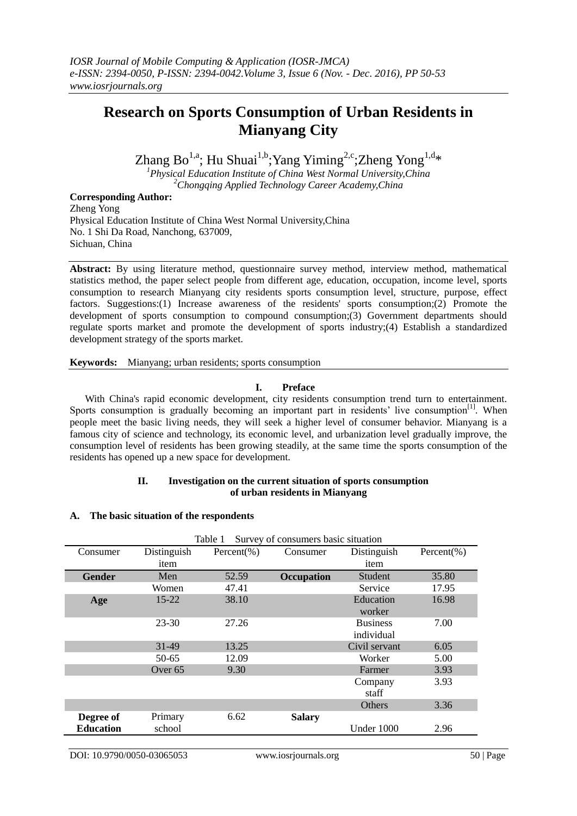# **Research on Sports Consumption of Urban Residents in Mianyang City**

Zhang Bo<sup>1,a</sup>; Hu Shuai<sup>1,b</sup>; Yang Yiming<sup>2,c</sup>; Zheng Yong<sup>1,d</sup>\*<br><sup>1</sup>Physical Education Institute of China West Normal University, China

*<sup>2</sup>Chongqing Applied Technology Career Academy,China*

# **Corresponding Author:**

Zheng Yong Physical Education Institute of China West Normal University,China No. 1 Shi Da Road, Nanchong, 637009, Sichuan, China

**Abstract:** By using literature method, questionnaire survey method, interview method, mathematical statistics method, the paper select people from different age, education, occupation, income level, sports consumption to research Mianyang city residents sports consumption level, structure, purpose, effect factors. Suggestions:(1) Increase awareness of the residents' sports consumption;(2) Promote the development of sports consumption to compound consumption;(3) Government departments should regulate sports market and promote the development of sports industry;(4) Establish a standardized development strategy of the sports market.

**Keywords:** Mianyang; urban residents; sports consumption

# **I. Preface**

With China's rapid economic development, city residents consumption trend turn to entertainment. Sports consumption is gradually becoming an important part in residents' live consumption<sup>[1]</sup>. When people meet the basic living needs, they will seek a higher level of consumer behavior. Mianyang is a famous city of science and technology, its economic level, and urbanization level gradually improve, the consumption level of residents has been growing steadily, at the same time the sports consumption of the residents has opened up a new space for development.

## **II. Investigation on the current situation of sports consumption of urban residents in Mianyang**

#### **A. The basic situation of the respondents**

|                  | Table 1<br>Survey of consumers basic situation |                 |               |                 |                 |  |
|------------------|------------------------------------------------|-----------------|---------------|-----------------|-----------------|--|
| Consumer         | Distinguish                                    | Percent $(\% )$ | Consumer      | Distinguish     | Percent $(\% )$ |  |
|                  | item                                           |                 |               | item            |                 |  |
| Gender           | Men                                            | 52.59           | Occupation    | Student         | 35.80           |  |
|                  | Women                                          | 47.41           |               | Service         | 17.95           |  |
| Age              | $15 - 22$                                      | 38.10           |               | Education       | 16.98           |  |
|                  |                                                |                 |               | worker          |                 |  |
|                  | 23-30                                          | 27.26           |               | <b>Business</b> | 7.00            |  |
|                  |                                                |                 |               | individual      |                 |  |
|                  | 31-49                                          | 13.25           |               | Civil servant   | 6.05            |  |
|                  | 50-65                                          | 12.09           |               | 5.00<br>Worker  |                 |  |
|                  | Over <sub>65</sub>                             | 9.30            |               | 3.93<br>Farmer  |                 |  |
|                  |                                                |                 |               | Company         | 3.93            |  |
|                  |                                                |                 |               | staff           |                 |  |
|                  |                                                |                 |               | Others          | 3.36            |  |
| Degree of        | Primary                                        | 6.62            | <b>Salary</b> |                 |                 |  |
| <b>Education</b> | school                                         |                 |               | Under 1000      | 2.96            |  |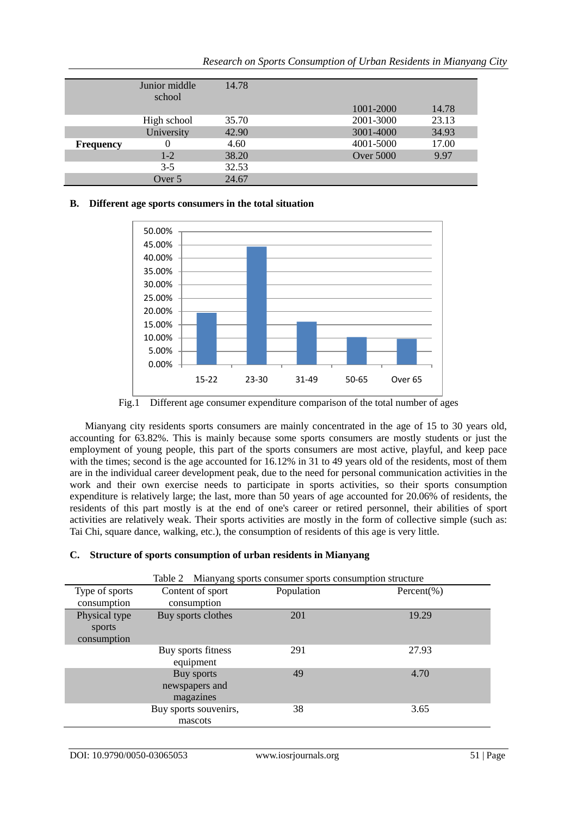|                  | Junior middle<br>school | 14.78 |                  |       |
|------------------|-------------------------|-------|------------------|-------|
|                  |                         |       | 1001-2000        | 14.78 |
|                  | High school             | 35.70 | 2001-3000        | 23.13 |
|                  | University              | 42.90 | 3001-4000        | 34.93 |
| <b>Frequency</b> | 0                       | 4.60  | 4001-5000        | 17.00 |
|                  | $1-2$                   | 38.20 | <b>Over 5000</b> | 9.97  |
|                  | $3 - 5$                 | 32.53 |                  |       |
|                  | Over 5                  | 24.67 |                  |       |

# **B. Different age sports consumers in the total situation**



Fig.1 Different age consumer expenditure comparison of the total number of ages

Mianyang city residents sports consumers are mainly concentrated in the age of 15 to 30 years old, accounting for 63.82%. This is mainly because some sports consumers are mostly students or just the employment of young people, this part of the sports consumers are most active, playful, and keep pace with the times; second is the age accounted for 16.12% in 31 to 49 years old of the residents, most of them are in the individual career development peak, due to the need for personal communication activities in the work and their own exercise needs to participate in sports activities, so their sports consumption expenditure is relatively large; the last, more than 50 years of age accounted for 20.06% of residents, the residents of this part mostly is at the end of one's career or retired personnel, their abilities of sport activities are relatively weak. Their sports activities are mostly in the form of collective simple (such as: Tai Chi, square dance, walking, etc.), the consumption of residents of this age is very little.

# **C. Structure of sports consumption of urban residents in Mianyang**

| Table 2 Mianyang sports consumer sports consumption structure |                                           |            |                 |  |
|---------------------------------------------------------------|-------------------------------------------|------------|-----------------|--|
| Type of sports<br>consumption                                 | Content of sport<br>consumption           | Population | Percent $(\% )$ |  |
| Physical type<br>sports<br>consumption                        | Buy sports clothes                        | 201        | 19.29           |  |
|                                                               | Buy sports fitness<br>equipment           | 291        | 27.93           |  |
|                                                               | Buy sports<br>newspapers and<br>magazines | 49         | 4.70            |  |
|                                                               | Buy sports souvenirs,<br>mascots          | 38         | 3.65            |  |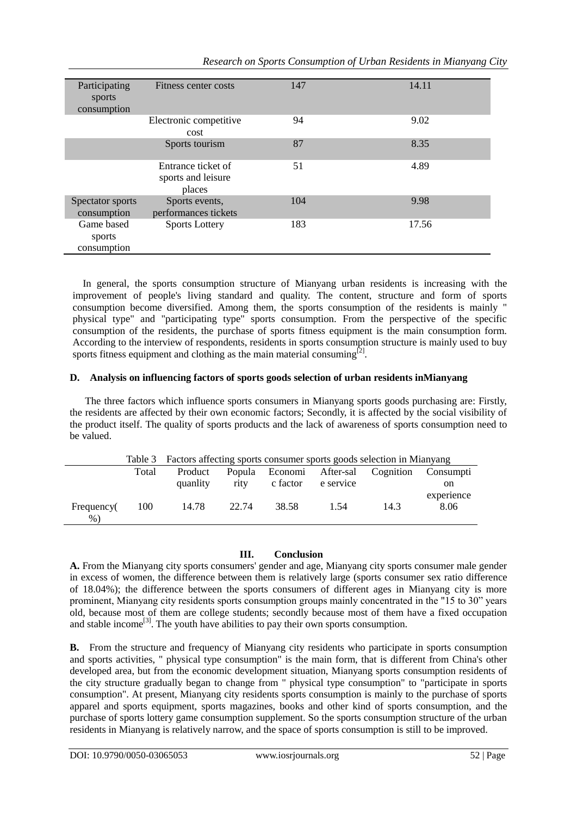| Participating<br>sports<br>consumption | Fitness center costs                               | 147 | 14.11 |
|----------------------------------------|----------------------------------------------------|-----|-------|
|                                        | Electronic competitive<br>cost                     | 94  | 9.02  |
|                                        | Sports tourism                                     | 87  | 8.35  |
|                                        | Entrance ticket of<br>sports and leisure<br>places | 51  | 4.89  |
| Spectator sports<br>consumption        | Sports events,<br>performances tickets             | 104 | 9.98  |
| Game based<br>sports<br>consumption    | <b>Sports Lottery</b>                              | 183 | 17.56 |

In general, the sports consumption structure of Mianyang urban residents is increasing with the improvement of people's living standard and quality. The content, structure and form of sports consumption become diversified. Among them, the sports consumption of the residents is mainly " physical type" and "participating type" sports consumption. From the perspective of the specific consumption of the residents, the purchase of sports fitness equipment is the main consumption form. According to the interview of respondents, residents in sports consumption structure is mainly used to buy sports fitness equipment and clothing as the main material consuming $^{[2]}$ .

# **D. Analysis on influencing factors of sports goods selection of urban residents inMianyang**

The three factors which influence sports consumers in Mianyang sports goods purchasing are: Firstly, the residents are affected by their own economic factors; Secondly, it is affected by the social visibility of the product itself. The quality of sports products and the lack of awareness of sports consumption need to be valued.

|                     | Table 3 | Factors affecting sports consumer sports goods selection in Mianyang |       |          |           |                                    |                    |
|---------------------|---------|----------------------------------------------------------------------|-------|----------|-----------|------------------------------------|--------------------|
|                     | Total   | Product                                                              |       |          |           | Popula Economi After-sal Cognition | Consumpti          |
|                     |         | quanlity                                                             | rity  | c factor | e service |                                    | on                 |
| Frequency(<br>$%$ ) | 100     | 14.78                                                                | 22.74 | 38.58    | 1.54      | 14.3                               | experience<br>8.06 |

# **III. Conclusion**

**A.** From the Mianyang city sports consumers' gender and age, Mianyang city sports consumer male gender in excess of women, the difference between them is relatively large (sports consumer sex ratio difference of 18.04%); the difference between the sports consumers of different ages in Mianyang city is more prominent, Mianyang city residents sports consumption groups mainly concentrated in the "15 to 30" years old, because most of them are college students; secondly because most of them have a fixed occupation and stable income<sup>[3]</sup>. The youth have abilities to pay their own sports consumption.

**B.** From the structure and frequency of Mianyang city residents who participate in sports consumption and sports activities, " physical type consumption" is the main form, that is different from China's other developed area, but from the economic development situation, Mianyang sports consumption residents of the city structure gradually began to change from " physical type consumption" to "participate in sports consumption". At present, Mianyang city residents sports consumption is mainly to the purchase of sports apparel and sports equipment, sports magazines, books and other kind of sports consumption, and the purchase of sports lottery game consumption supplement. So the sports consumption structure of the urban residents in Mianyang is relatively narrow, and the space of sports consumption is still to be improved.